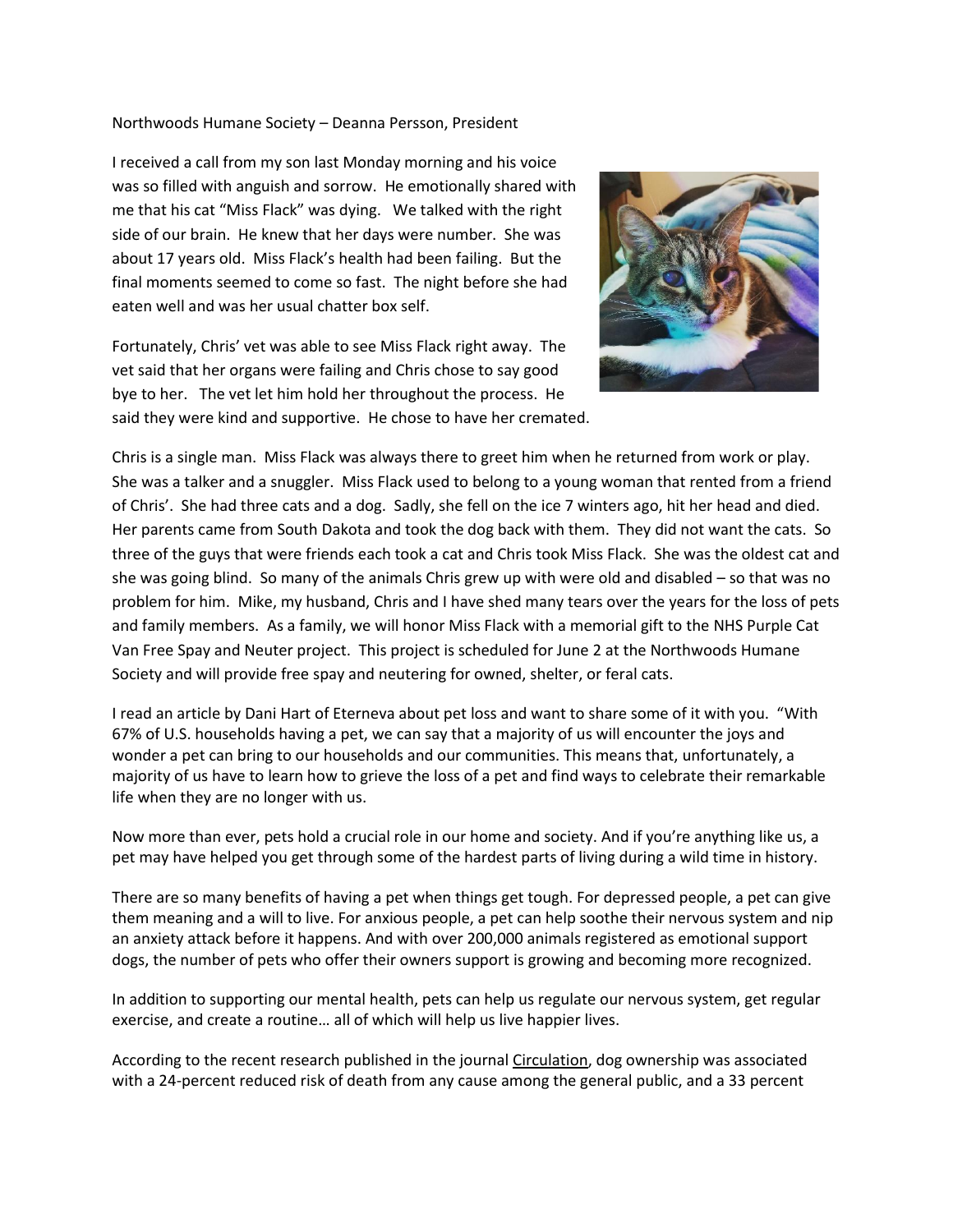## Northwoods Humane Society – Deanna Persson, President

I received a call from my son last Monday morning and his voice was so filled with anguish and sorrow. He emotionally shared with me that his cat "Miss Flack" was dying. We talked with the right side of our brain. He knew that her days were number. She was about 17 years old. Miss Flack's health had been failing. But the final moments seemed to come so fast. The night before she had eaten well and was her usual chatter box self.

Fortunately, Chris' vet was able to see Miss Flack right away. The vet said that her organs were failing and Chris chose to say good bye to her. The vet let him hold her throughout the process. He said they were kind and supportive. He chose to have her cremated.



Chris is a single man. Miss Flack was always there to greet him when he returned from work or play. She was a talker and a snuggler. Miss Flack used to belong to a young woman that rented from a friend of Chris'. She had three cats and a dog. Sadly, she fell on the ice 7 winters ago, hit her head and died. Her parents came from South Dakota and took the dog back with them. They did not want the cats. So three of the guys that were friends each took a cat and Chris took Miss Flack. She was the oldest cat and she was going blind. So many of the animals Chris grew up with were old and disabled – so that was no problem for him. Mike, my husband, Chris and I have shed many tears over the years for the loss of pets and family members. As a family, we will honor Miss Flack with a memorial gift to the NHS Purple Cat Van Free Spay and Neuter project. This project is scheduled for June 2 at the Northwoods Humane Society and will provide free spay and neutering for owned, shelter, or feral cats.

I read an article by Dani Hart of Eterneva about pet loss and want to share some of it with you. "With 67% of U.S. households having a pet, we can say that a majority of us will encounter the joys and wonder a pet can bring to our households and our communities. This means that, unfortunately, a majority of us have to learn how to grieve the loss of a pet and find ways to celebrate their remarkable life when they are no longer with us.

Now more than ever, pets hold a crucial role in our home and society. And if you're anything like us, a pet may have helped you get through some of the hardest parts of living during a wild time in history.

There are so many benefits of having a pet when things get tough. For depressed people, a pet can give them meaning and a will to live. For anxious people, a pet can help soothe their nervous system and nip an anxiety attack before it happens. And with over 200,000 animals registered as emotional support dogs, the number of pets who offer their owners support is growing and becoming more recognized.

In addition to supporting our mental health, pets can help us regulate our nervous system, get regular exercise, and create a routine… all of which will help us live happier lives.

According to the recent research published in the journal [Circulation,](https://www.ahajournals.org/doi/10.1161/CIRCOUTCOMES.118.005342) dog ownership was associated with a 24-percent reduced risk of death from any cause among the general public, and a 33 percent